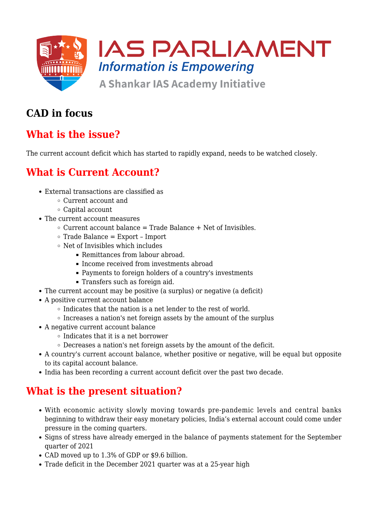

## **CAD in focus**

# **What is the issue?**

The current account deficit which has started to rapidly expand, needs to be watched closely.

## **What is Current Account?**

- External transactions are classified as
	- Current account and
	- Capital account
- The current account measures
	- $\circ$  Current account balance = Trade Balance + Net of Invisibles.
	- $\circ$  Trade Balance = Export Import
	- $\circ$  Net of Invisibles which includes
		- Remittances from labour abroad.
		- Income received from investments abroad
		- Payments to foreign holders of a country's investments
		- Transfers such as foreign aid.
- The current account may be positive (a surplus) or negative (a deficit)
- A positive current account balance
	- $\circ$  Indicates that the nation is a net lender to the rest of world.
	- $\circ$  Increases a nation's net foreign assets by the amount of the surplus
- A negative current account balance
	- $\circ$  Indicates that it is a net borrower
	- $\circ$  Decreases a nation's net foreign assets by the amount of the deficit.
- A country's current account balance, whether positive or negative, will be equal but opposite to its capital account balance.
- India has been recording a current account deficit over the past two decade.

# **What is the present situation?**

- With economic activity slowly moving towards pre-pandemic levels and central banks beginning to withdraw their easy monetary policies, India's external account could come under pressure in the coming quarters.
- Signs of stress have already emerged in the balance of payments statement for the September quarter of 2021
- CAD moved up to 1.3% of GDP or \$9.6 billion.
- Trade deficit in the December 2021 quarter was at a 25-year high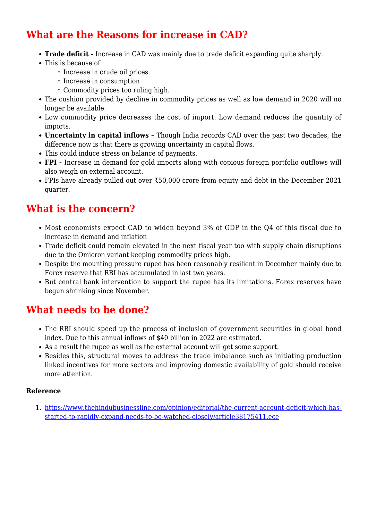## **What are the Reasons for increase in CAD?**

- **Trade deficit -** Increase in CAD was mainly due to trade deficit expanding quite sharply.
- This is because of
	- $\circ$  Increase in crude oil prices.
	- $\circ$  Increase in consumption
	- Commodity prices too ruling high.
- The cushion provided by decline in commodity prices as well as low demand in 2020 will no longer be available.
- Low commodity price decreases the cost of import. Low demand reduces the quantity of imports.
- **Uncertainty in capital inflows** Though India records CAD over the past two decades, the difference now is that there is growing uncertainty in capital flows.
- This could induce stress on balance of payments.
- **FPI** Increase in demand for gold imports along with copious foreign portfolio outflows will also weigh on external account.
- FPIs have already pulled out over ₹50,000 crore from equity and debt in the December 2021 quarter.

#### **What is the concern?**

- Most economists expect CAD to widen beyond 3% of GDP in the Q4 of this fiscal due to increase in demand and inflation
- Trade deficit could remain elevated in the next fiscal year too with supply chain disruptions due to the Omicron variant keeping commodity prices high.
- Despite the mounting pressure rupee has been reasonably resilient in December mainly due to Forex reserve that RBI has accumulated in last two years.
- But central bank intervention to support the rupee has its limitations. Forex reserves have begun shrinking since November.

#### **What needs to be done?**

- The RBI should speed up the process of inclusion of government securities in global bond index. Due to this annual inflows of \$40 billion in 2022 are estimated.
- As a result the rupee as well as the external account will get some support.
- Besides this, structural moves to address the trade imbalance such as initiating production linked incentives for more sectors and improving domestic availability of gold should receive more attention.

#### **Reference**

1. [https://www.thehindubusinessline.com/opinion/editorial/the-current-account-deficit-which-has](https://www.thehindubusinessline.com/opinion/editorial/the-current-account-deficit-which-has-started-to-rapidly-expand-needs-to-be-watched-closely/article38175411.ece)[started-to-rapidly-expand-needs-to-be-watched-closely/article38175411.ece](https://www.thehindubusinessline.com/opinion/editorial/the-current-account-deficit-which-has-started-to-rapidly-expand-needs-to-be-watched-closely/article38175411.ece)